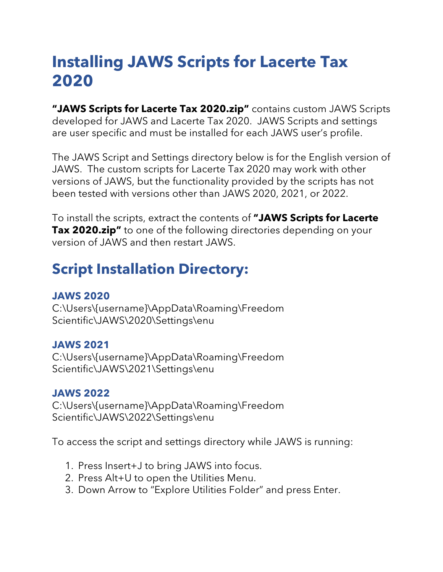# **Installing JAWS Scripts for Lacerte Tax 2020**

**"JAWS Scripts for Lacerte Tax 2020.zip"** contains custom JAWS Scripts developed for JAWS and Lacerte Tax 2020. JAWS Scripts and settings are user specific and must be installed for each JAWS user's profile.

The JAWS Script and Settings directory below is for the English version of JAWS. The custom scripts for Lacerte Tax 2020 may work with other versions of JAWS, but the functionality provided by the scripts has not been tested with versions other than JAWS 2020, 2021, or 2022.

To install the scripts, extract the contents of **"JAWS Scripts for Lacerte Tax 2020.zip"** to one of the following directories depending on your version of JAWS and then restart JAWS.

# **Script Installation Directory:**

## **JAWS 2020**

C:\Users\{username}\AppData\Roaming\Freedom Scientific\JAWS\2020\Settings\enu

## **JAWS 2021**

C:\Users\{username}\AppData\Roaming\Freedom Scientific\JAWS\2021\Settings\enu

## **JAWS 2022**

C:\Users\{username}\AppData\Roaming\Freedom Scientific\JAWS\2022\Settings\enu

To access the script and settings directory while JAWS is running:

- 1. Press Insert+J to bring JAWS into focus.
- 2. Press Alt+U to open the Utilities Menu.
- 3. Down Arrow to "Explore Utilities Folder" and press Enter.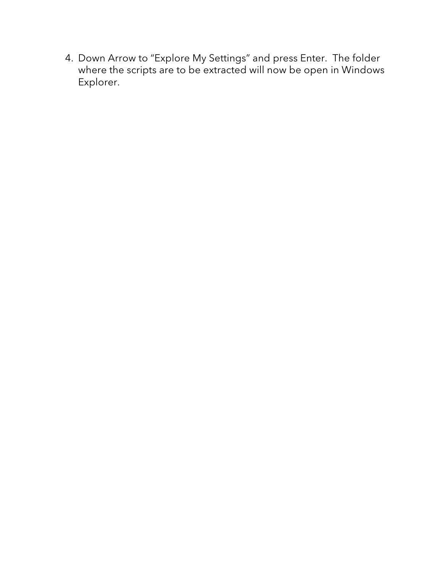4. Down Arrow to "Explore My Settings" and press Enter. The folder where the scripts are to be extracted will now be open in Windows Explorer.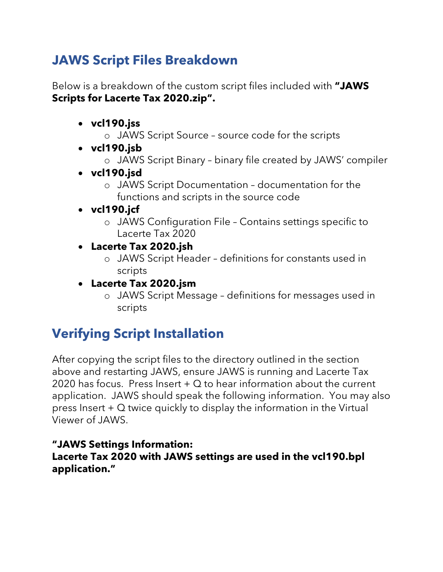# **JAWS Script Files Breakdown**

Below is a breakdown of the custom script files included with **"JAWS Scripts for Lacerte Tax 2020.zip".**

- **vcl190.jss**
	- o JAWS Script Source source code for the scripts
- **vcl190.jsb**
	- o JAWS Script Binary binary file created by JAWS' compiler
- **vcl190.jsd**
	- o JAWS Script Documentation documentation for the functions and scripts in the source code
- **vcl190.jcf**
	- o JAWS Configuration File Contains settings specific to Lacerte Tax 2020
- **Lacerte Tax 2020.jsh**
	- o JAWS Script Header definitions for constants used in scripts
- **Lacerte Tax 2020.jsm**
	- o JAWS Script Message definitions for messages used in scripts

# **Verifying Script Installation**

After copying the script files to the directory outlined in the section above and restarting JAWS, ensure JAWS is running and Lacerte Tax 2020 has focus. Press Insert  $+$  Q to hear information about the current application. JAWS should speak the following information. You may also press Insert + Q twice quickly to display the information in the Virtual Viewer of JAWS.

## **"JAWS Settings Information:**

### **Lacerte Tax 2020 with JAWS settings are used in the vcl190.bpl application."**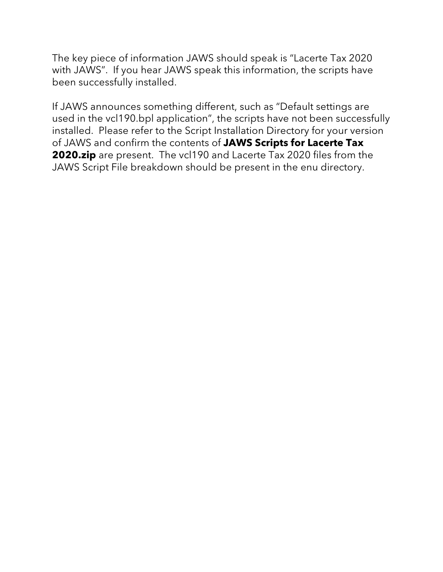The key piece of information JAWS should speak is "Lacerte Tax 2020 with JAWS". If you hear JAWS speak this information, the scripts have been successfully installed.

If JAWS announces something different, such as "Default settings are used in the vcl190.bpl application", the scripts have not been successfully installed. Please refer to the Script Installation Directory for your version of JAWS and confirm the contents of **JAWS Scripts for Lacerte Tax 2020.zip** are present. The vcl190 and Lacerte Tax 2020 files from the JAWS Script File breakdown should be present in the enu directory.